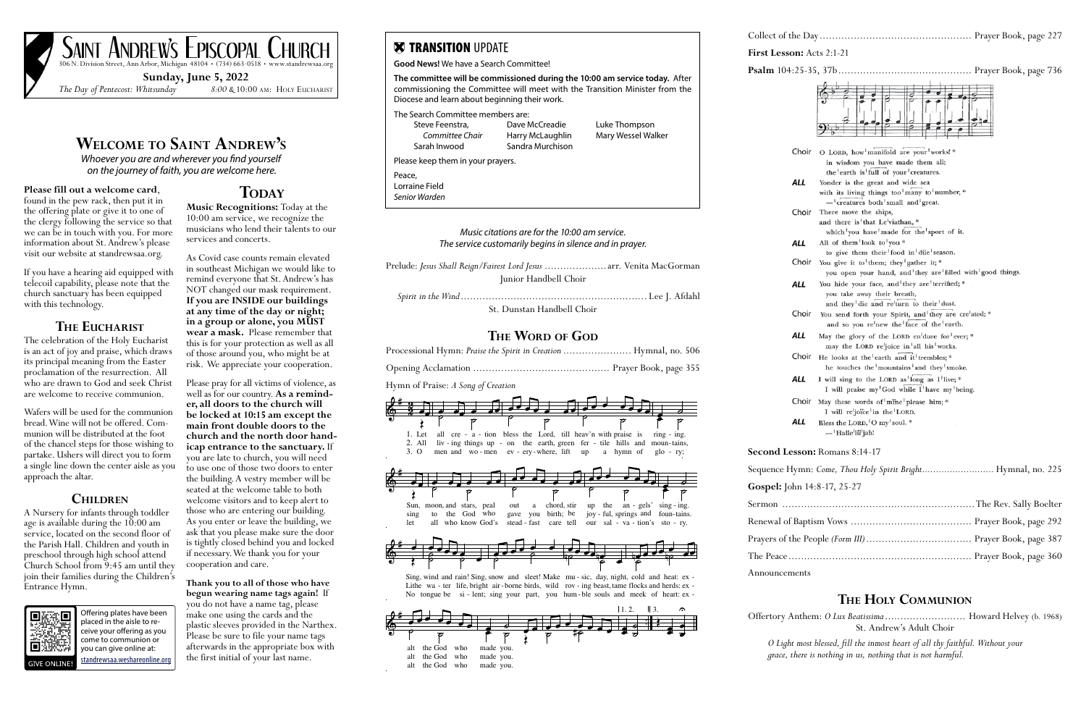# **Welcome to Saint Andrew's**

*Whoever you are and wherever you find yourself on the journey of faith, you are welcome here.* 

# **Please fill out a welcome card,** found in the pew rack, then put it in

the offering plate or give it to one of the clergy following the service so that we can be in touch with you. For more information about St. Andrew's please visit our website at standrewsaa.org.

If you have a hearing aid equipped with telecoil capability, please note that the church sanctuary has been equipped with this technology.

## **The Eucharist**

The celebration of the Holy Eucharist is an act of joy and praise, which draws its principal meaning from the Easter proclamation of the resurrection. All who are drawn to God and seek Christ are welcome to receive communion.

Wafers will be used for the communion bread. Wine will not be offered. Com- munion will be distributed at the foot of the chancel steps for those wishing to partake. Ushers will direct you to form a single line down the center aisle as you approach the altar.

## **Children**

A Nursery for infants through toddler age is available during the  $10:00$  am service, located on the second floor of the Parish Hall. Children and youth in preschool through high school attend Church School from 9:45 am until they join their families during the Children's Entrance Hymn.



**Music Recognitions:** Today at the 10:00 am service, we recognize the musicians who lend their talents to our services and concerts.

As Covid case counts remain elevated in southeast Michigan we would like to remind everyone that St. Andrew's has NOT changed our mask requirement. **If you are INSIDE our buildings at any time of the day or night; in a group or alone, you MUST wear a mask.** Please remember that this is for your protection as well as all of those around you, who might be at risk. We appreciate your cooperation.

Please pray for all victims of violence, as well as for our country. **As a reminder, all doors to the church will be locked at 10:15 am except the main front double doors to the church and the north door handicap entrance to the sanctuary.** If you are late to church, you will need to use one of those two doors to enter the building. A vestry member will be seated at the welcome table to both welcome visitors and to keep alert to those who are entering our building. As you enter or leave the building, we ask that you please make sure the door is tightly closed behind you and locked if necessary. We thank you for your cooperation and care.

**Thank you to all of those who have begun wearing name tags again!** If you do not have a name tag, please make one using the cards and the plastic sleeves provided in the Narthex. Please be sure to file your name tags afterwards in the appropriate box with the first initial of your last name.

SAINT ANDREW'S EPISCOPAL CHURCH  $36$  N. Division Street, Ann Arbor, Michigan  $48104 \cdot (734)$  663-0518 • www.standrewsaa.org

**Sunday, June 5, 2022**

*The Day of Pentecost: Whitsunday 8:00 &* 10:00 am: Holy Eucharist

Offering plates have been placed in the aisle to receive your offering as you come to communion or you can give online at: [standrewsaa.weshareonline.org](https://standrewsaa.weshareonline.org)

# **TODAY**

**Fig. 2:1-21** 

**Psalm** 104:25-35, 37b ........................................... Prayer Book, page 736



ments

### **The Holy Communion**

Offertory Anthem: *O Lux Beatissima* .......................... Howard Helvey (b. 1968) St. Andrew's Adult Choir

*O Light most blessed, fill the inmost heart of all thy faithful. Without your grace, there is nothing in us, nothing that is not harmful.*

|                                                                                                                                                                                                                                                                                    | Collect of        |
|------------------------------------------------------------------------------------------------------------------------------------------------------------------------------------------------------------------------------------------------------------------------------------|-------------------|
| <b>X TRANSITION UPDATE</b>                                                                                                                                                                                                                                                         | <b>First Less</b> |
| Good News! We have a Search Committee!<br>The committee will be commissioned during the 10:00 am service today. After<br>commissioning the Committee will meet with the Transition Minister from the<br>Diocese and learn about beginning their work.                              | Psalm $102$       |
| The Search Committee members are:<br>Luke Thompson<br>Steve Feenstra,<br>Dave McCreadie<br>Committee Chair<br>Mary Wessel Walker<br>Harry McLaughlin<br>Sandra Murchison<br>Sarah Inwood                                                                                           |                   |
| Please keep them in your prayers.                                                                                                                                                                                                                                                  |                   |
| Peace,<br>Lorraine Field<br>Senior Warden                                                                                                                                                                                                                                          |                   |
| Music citations are for the 10:00 am service.<br>The service customarily begins in silence and in prayer.                                                                                                                                                                          |                   |
| Prelude: Jesus Shall Reign/Fairest Lord Jesus  arr. Venita MacGorman<br>Junior Handbell Choir                                                                                                                                                                                      |                   |
|                                                                                                                                                                                                                                                                                    |                   |
| St. Dunstan Handbell Choir                                                                                                                                                                                                                                                         |                   |
| THE WORD OF GOD<br>Processional Hymn: Praise the Spirit in Creation  Hymnal, no. 506<br>Hymn of Praise: A Song of Creation                                                                                                                                                         |                   |
| 1. Let<br>all cre - a - tion bless the Lord, till heav'n with praise is<br>$r$ ing - ing.<br>liv - ing things up - on the earth, green fer - tile hills and moun-tains,<br>2. All<br>3.0<br>men and wo-men<br>ev - ery-where, lift<br>up<br>a hymn of<br>$g$ lo - ry;              | Second L          |
|                                                                                                                                                                                                                                                                                    | Sequence I        |
| ρ<br>O                                                                                                                                                                                                                                                                             | Gospel: Jo        |
| chord, stir<br>Sun, moon, and stars, peal<br>an - $gels'$<br>$\sin g$ - $\sin g$ .<br>the<br>out<br>up<br>a                                                                                                                                                                        | Sermon            |
| the God who<br>birth; be<br>joy - ful, springs and<br>you<br>foun-tains.<br>to<br>gave<br>sing<br>all who know God's<br>stead - fast<br>care tell<br>our sal - va - tion's<br>let<br>$sto - ry$ .                                                                                  | Renewal of        |
|                                                                                                                                                                                                                                                                                    | Prayers of        |
|                                                                                                                                                                                                                                                                                    | The Peace         |
| Sing, wind and rain! Sing, snow and sleet! Make mu - sic, day, night, cold and heat: ex -<br>Lithe wa - ter life, bright air-borne birds, wild rov - ing beast, tame flocks and herds: ex -<br>No tongue be si - lent; sing your part, you hum - ble souls and meek of heart: ex - | Announcer         |
| 1, 2.<br>$\parallel$ 3.                                                                                                                                                                                                                                                            |                   |

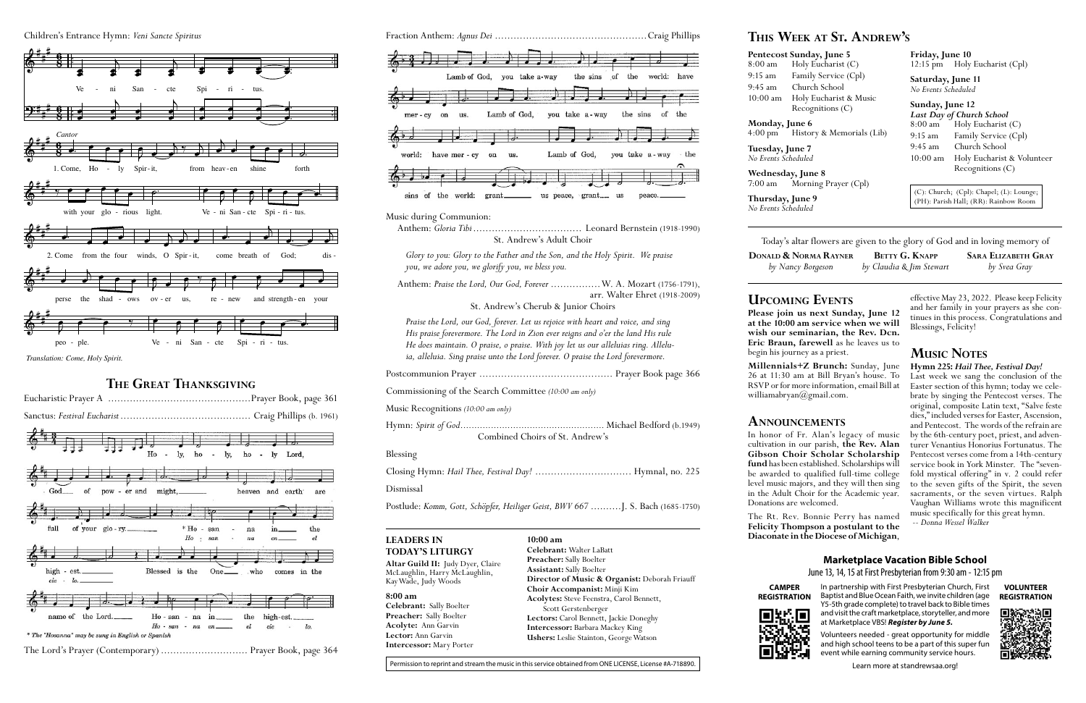## **Upcoming Events**

**Millennials+Z Brunch:** Sunday, June 26 at 11:30 am at Bill Bryan's house. To RSVP or for more information, email Bill at williamabryan@gmail.com.

**Please join us next Sunday, June 12 at the 10:00 am service when we will wish our seminarian, the Rev. Dcn. Eric Braun, farewell** as he leaves us to begin his journey as a priest.

# **Announcements**

In honor of Fr. Alan's legacy of music cultivation in our parish, **the Rev. Alan Gibson Choir Scholar Scholarship fund** has been established. Scholarships will be awarded to qualified full-time college level music majors, and they will then sing in the Adult Choir for the Academic year. Donations are welcomed.

The Rt. Rev. Bonnie Perry has named **Felicity Thompson a postulant to the Diaconate in the Diocese of Michigan**,

effective May 23, 2022. Please keep Felicity and her family in your prayers as she continues in this process. Congratulations and Blessings, Felicity!

# **Music Notes**

#### **Hymn 225:** *Hail Thee, Festival Day!*

Last week we sang the conclusion of the Easter section of this hymn; today we celebrate by singing the Pentecost verses. The original, composite Latin text, "Salve feste dies," included verses for Easter, Ascension, and Pentecost. The words of the refrain are<br>by the 6th-century poet, priest, and adventurer Venantius Honorius Fortunatus. The Pentecost verses come from a 14th-century<br>service book in York Minster. The "sevenfold mystical offering" in v. 2 could refer to the seven gifts of the Spirit, the seven sacraments, or the seven virtues. Ralph Vaughan Williams wrote this magnificent music specifically for this great hymn.

*-- Donna Wessel Walker*



Anthem: *Gloria Tibi* ................................... Leonard Bernstein (1918-1990) St. Andrew's Adult Choir

*Glory to you: Glory to the Father and the Son, and the Holy Spirit. We praise you, we adore you, we glorify you, we bless you.*

Anthem: *Praise the Lord, Our God, Forever* ................W. A. Mozart (1756-1791), arr. Walter Ehret (1918-2009)

St. Andrew's Cherub & Junior Choirs

*Praise the Lord, our God, forever. Let us rejoice with heart and voice, and sing His praise forevermore. The Lord in Zion ever reigns and o'er the land His rule He does maintain. O praise, o praise. With joy let us our alleluias ring. Alleluia, alleluia. Sing praise unto the Lord forever. O praise the Lord forevermore.*

Postcommunion Prayer ........................................... Prayer Book page 366

Commissioning of the Search Committee *(10:00 am only)*

Music Recognitions *(10:00 am only)* 

Hymn: *Spirit of God����������������������������������������������������* Michael Bedford (b.1949)

Combined Choirs of St. Andrew's

#### Blessing

Closing Hymn: *Hail Thee, Festival Day!* ............................... Hymnal, no. 225

Dismissal

Postlude: *Komm, Gott, Schöpfer, Heiliger Geist, BWV 667* ..........J. S. Bach (1685-1750)

# **This Week at St. Andrew's**

### **Pentecost Sunday, June 5** 8:00 am Holy Eucharist (C) 9:15 am Family Service (Cpl) 10:00 am Holy Eucharist & Music Recognitions (C)

9:45 am Church School

**Monday, June 6** 4:00 pm History & Memorials (Lib)

**Tuesday, June 7** *No Events Scheduled*

**Wednesday, June 8** 7:00 am Morning Prayer (Cpl)

**Thursday, June 9** *No Events Scheduled*

**DONALD & N** *by Nancy*  **Friday, June 10** 12:15 pm Holy Eucharist (Cpl)

**Saturday, June 11** *No Events Scheduled*

# **Sunday, June 12**

*Last Day of Church School*  $Holy$  Eucharist  $(C)$ 9:15 am Family Service (Cpl) 9:45 am Church School 10:00 am Holy Eucharist & Volunteer Recognitions (C)

(C): Church; (Cpl): Chapel; (L): Lounge; (PH): Parish Hall; (RR): Rainbow Room

Today's altar flowers are given to the glory of God and in loving memory of

| Jorma Rayner | <b>BETTY G. KNAPP</b>    | <b>SARA ELIZABETH GRAY</b> |
|--------------|--------------------------|----------------------------|
| y Borgeson   | by Claudia & Jim Stewart | by Svea Gray               |

#### **Marketplace Vacation Bible School**

June 13, 14, 15 at First Presbyterian from 9:30 am - 12:15 pm



#### **CAMPER REGISTRATION**







In partnership with First Presbyterian Church, First Baptist and Blue Ocean Faith, we invite children (age Y5-5th grade complete) to travel back to Bible times and visit the craft marketplace, storyteller, and more at Marketplace VBS! *Register by June 5.*

Volunteers needed - great opportunity for middle and high school teens to be a part of this super fun event while earning community service hours.



*Translation: Come, Holy Spirit.*

## **The Great Thanksgiving**



#### **8:00 am**

**Celebrant:** Sally Boelter **Preacher:** Sally Boelter **Acolyte:** Ann Garvin **Lector:** Ann Garvin **Intercessor:** Mary Porter

**10:00 am**

**Celebrant:** Walter LaBatt **Preacher:** Sally Boelter **Assistant:** Sally Boelter

**Director of Music & Organist:** Deborah Friauff

Permission to reprint and stream the music in this service obtained from ONE LICENSE, License #A-718890.

**Choir Accompanist:** Minji Kim **Acolytes:** Steve Feenstra, Carol Bennett,

#### Scott Gerstenberger **Lectors:** Carol Bennett, Jackie Doneghy **Intercessor:** Barbara Mackey King **Ushers:** Leslie Stainton, George Watson

**Altar Guild II:** Judy Dyer, Claire McLaughlin, Harry McLaughlin, Kay Wade, Judy Woods

#### **LEADERS IN TODAY'S LITURGY**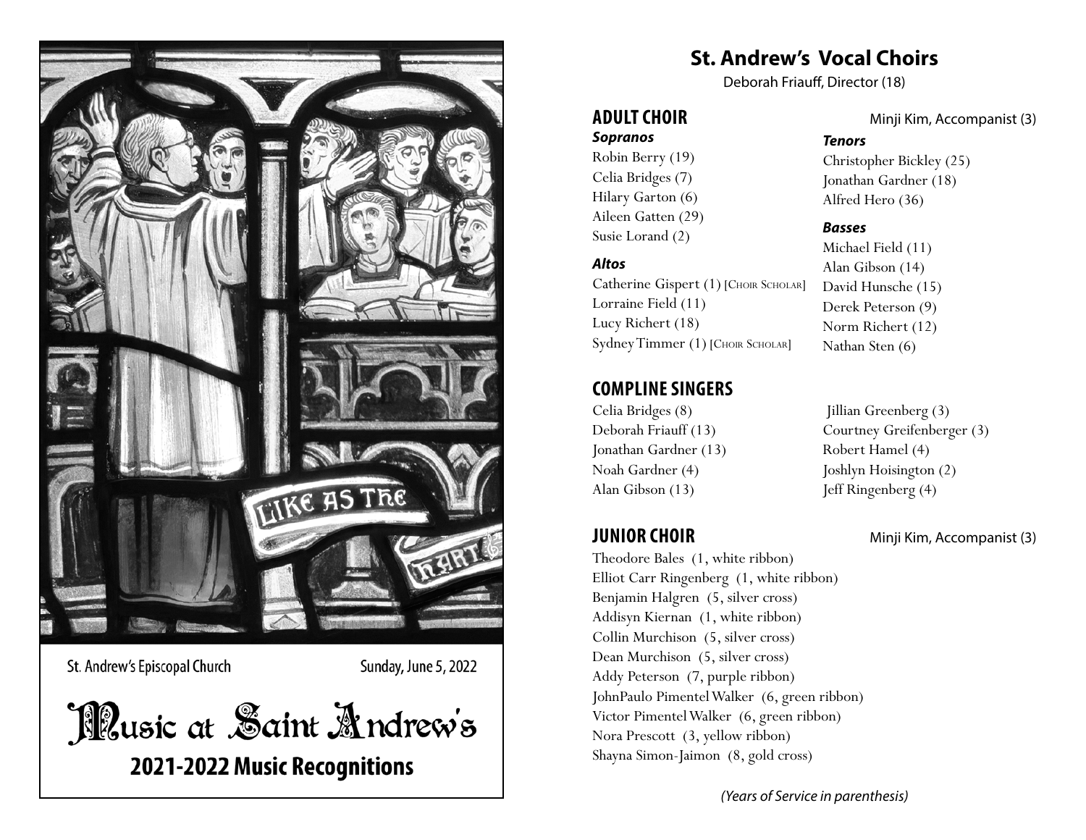

St. Andrew's Episcopal Church

Sunday, June 5, 2022

Illusic at Saint Andrew's 2021-2022 Music Recognitions

**St. Andrew's Vocal Choirs**

Deborah Friauff, Director (18)

# *Sopranos*

Robin Berry (19) Celia Bridges (7) Hilary Garton (6) Aileen Gatten (29) Susie Lorand (2)

#### *Altos*

Catherine Gispert (1) [Сноік Sсноіак] Lorraine Field (11) Lucy Richert (18) Sydney Timmer (1) [CHOIR SCHOLAR]

# **COMPLINE SINGERS**

Celia Bridges (8) Deborah Friauff (13) Jonathan Gardner (13) Noah Gardner (4) Alan Gibson (13)

Theodore Bales (1, white ribbon) Elliot Carr Ringenberg (1, white ribbon) Benjamin Halgren (5, silver cross) Addisyn Kiernan (1, white ribbon) Collin Murchison (5, silver cross) Dean Murchison (5, silver cross) Addy Peterson (7, purple ribbon) JohnPaulo Pimentel Walker (6, green ribbon) Victor Pimentel Walker (6, green ribbon) Nora Prescott (3, yellow ribbon) Shayna Simon-Jaimon (8, gold cross)

**ADULT CHOIR** Minji Kim, Accompanist (3)

#### *Tenors*

Christopher Bickley (25) Jonathan Gardner (18) Alfred Hero (36)

#### *Basses*

Michael Field (11) Alan Gibson (14) David Hunsche (15) Derek Peterson (9) Norm Richert (12) Nathan Sten (6)

 Jillian Greenberg (3) Courtney Greifenberger (3) Robert Hamel (4) Joshlyn Hoisington (2) Jeff Ringenberg (4)

**JUNIOR CHOIR** Minji Kim, Accompanist (3)

*(Years of Service in parenthesis)*